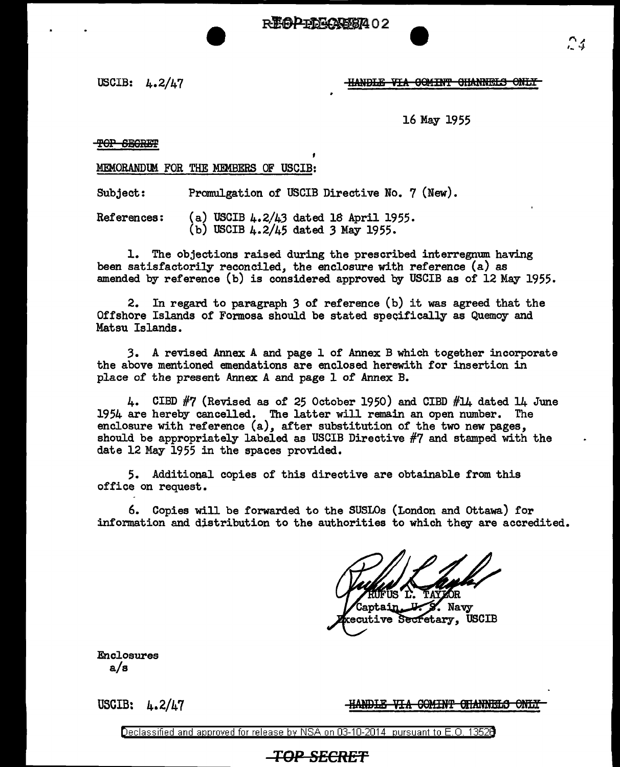**REAPENGASE402** 

### USCIB:  $L.2/L7$  HANDLE VIA OCMINT CHANNELS ONLY

16 May 1955

TOP SEGRET

MEMORANDlM FOR THE MEMBERS OF USCIB:

Subject: Promulgation of USCIB Directive No. 7 (New).

References: (a) USCIB 4.2/43 dated 18 April 1955. (b) USCIB 4.2/45 dated *3* May 1955.

1. The objections raised during the prescribed interregnum having been satisfactorily reconciled, the enclosure with reference (a) as amended by reference (b) is considered approved by USCIB as of 12 May 1955.

2. In regard to paragraph *3* of reference (b) it was agreed that the Off shore Islands of Formosa should be stated specifically as Quemoy and Matsu Islands.

J. A revised Annex A and page 1 of Annex B which together incorporate the above mentioned emendations are enclosed herewith for insertion in place of the present Annex A and page 1 of Annex B.

4. CIBD  $#7$  (Revised as of 25 October 1950) and CIBD  $#14$  dated 14 June 1954 are hereby cancelled. The latter will remain an open number. The enclosure with reference (a), after substitution of the two new pages, should be appropriately labeled as USCIB Directive #7 and stamped with the date 12 May 1955 in the spaces provided.

5. Additional copies of this directive are obtainable from this office on request.

6. Copies will be forwarded to the SUSLOs (London and Ottawa) for information and distribution to the authorities to which they are accredited.

Captain . Navy ecutive Secretary, USCIB

Enclosures a/s

USGIB: 4.2/47

<u>-HANDLE VIA COMINT CHANNELS ONLY</u>

Declassified and approved for release by NSA on 03-10-2014 pursuant to E. 0. 1352B

## **TOP** *SECRET*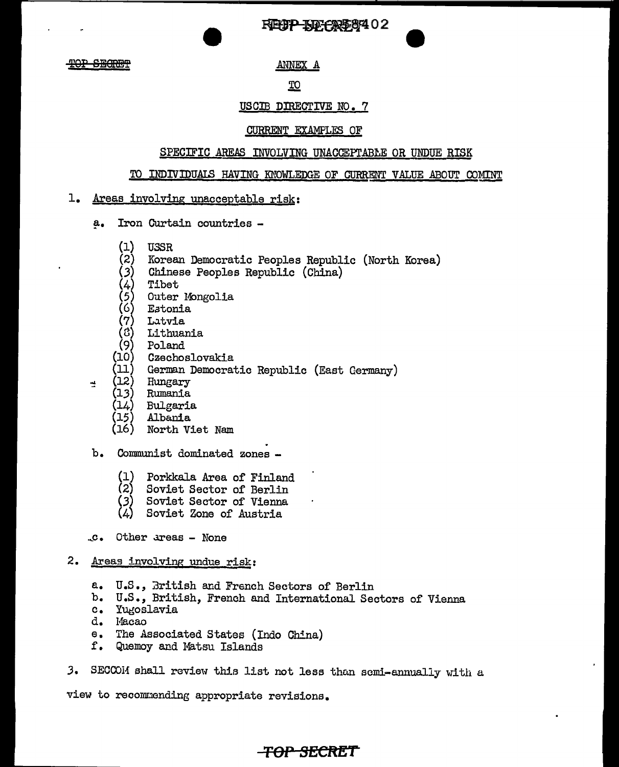REUP BEGRESS 102

<del>)P SECRET</del>

ANNEX A

## TO

## USCIB DIRECTIVE NO. 7

## **CURRENT EXAMPLES OF**

## SPECIFIC AREAS INVOLVING UNACCEPTABLE OR UNDUE RISK

### TO INDIVIDUALS HAVING KNOWLEDGE OF CURRENT VALUE ABOUT COMINT

- 1. Areas involving unacceptable risk:
	- a. Iron Curtain countries -
		- (1) **USSR**
		- $\left( 2\right)$ Korean Democratic Peoples Republic (North Korea)
		- Chinese Peoples Republic (China)
		- Tibet
		- Outer Mongolia
		- Estonia
		- Latvia
		- (4)。<br>(らら?。<br>(ら) Lithuania
		- Poland
		- (10 Czechoslovakia
		- $11^{\circ}$ German Democratic Republic (East Germany)
		- Hungary

궾

- Rumania
	- Bulgaria
	- Albania
	- (16) North Viet Nam
- b. Communist dominated zones -
	- $(1)$ Porkkala Area of Finland
	- (2) Soviet Sector of Berlin
	- (3)<br>(4) Soviet Sector of Vienna
	- Soviet Zone of Austria
- .c. Other areas None
- 2. Areas involving undue risk:
	- a. U.S., British and French Sectors of Berlin
	- b. U.S., British, French and International Sectors of Vienna
	- Yugoslavia  $c_{\bullet}$
	- d. Macao
	- The Associated States (Indo China)  $\Theta_{\bullet}$
	- f. Quemoy and Matsu Islands
- SECCOM shall review this list not less than semi-annually with a  $3.$

view to recommending appropriate revisions.

# <del>-TOP SECRET</del>